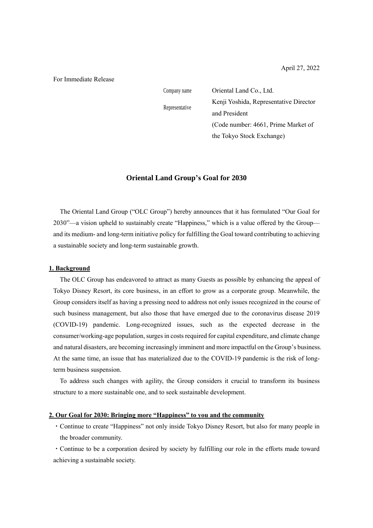For Immediate Release

Representative

Company name **Oriental Land Co.**, Ltd. Kenji Yoshida, Representative Director and President (Code number: 4661, Prime Market of the Tokyo Stock Exchange)

## **Oriental Land Group's Goal for 2030**

The Oriental Land Group ("OLC Group") hereby announces that it has formulated "Our Goal for 2030"—a vision upheld to sustainably create "Happiness," which is a value offered by the Group and its medium- and long-term initiative policy for fulfilling the Goal toward contributing to achieving a sustainable society and long-term sustainable growth.

#### **1. Background**

The OLC Group has endeavored to attract as many Guests as possible by enhancing the appeal of Tokyo Disney Resort, its core business, in an effort to grow as a corporate group. Meanwhile, the Group considers itself as having a pressing need to address not only issues recognized in the course of such business management, but also those that have emerged due to the coronavirus disease 2019 (COVID-19) pandemic. Long-recognized issues, such as the expected decrease in the consumer/working-age population, surges in costs required for capital expenditure, and climate change and natural disasters, are becoming increasingly imminent and more impactful on the Group's business. At the same time, an issue that has materialized due to the COVID-19 pandemic is the risk of longterm business suspension.

To address such changes with agility, the Group considers it crucial to transform its business structure to a more sustainable one, and to seek sustainable development.

# **2. Our Goal for 2030: Bringing more "Happiness" to you and the community**

・Continue to create "Happiness" not only inside Tokyo Disney Resort, but also for many people in the broader community.

・Continue to be a corporation desired by society by fulfilling our role in the efforts made toward achieving a sustainable society.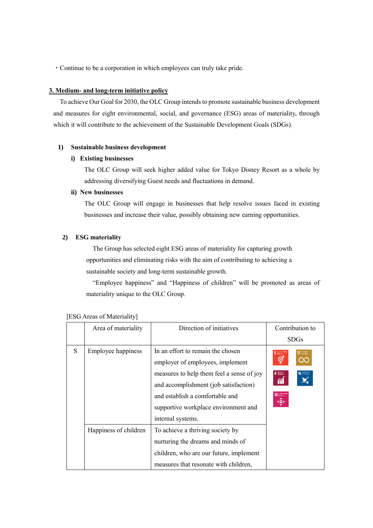・Continue to be a corporation in which employees can truly take pride.

## **3. Medium- and long-term initiative policy**

To achieve Our Goal for 2030, the OLC Group intends to promote sustainable business development and measures for eight environmental, social, and governance (ESG) areas of materiality, through which it will contribute to the achievement of the Sustainable Development Goals (SDGs).

## **1) Sustainable business development**

### **i) Existing businesses**

The OLC Group will seek higher added value for Tokyo Disney Resort as a whole by addressing diversifying Guest needs and fluctuations in demand.

#### **ii) New businesses**

The OLC Group will engage in businesses that help resolve issues faced in existing businesses and increase their value, possibly obtaining new earning opportunities.

# **2) ESG materiality**

The Group has selected eight ESG areas of materiality for capturing growth opportunities and eliminating risks with the aim of contributing to achieving a sustainable society and long-term sustainable growth.

"Employee happiness" and "Happiness of children" will be promoted as areas of materiality unique to the OLC Group.

|   | Area of materiality       | Direction of initiatives                  | Contribution to                                |
|---|---------------------------|-------------------------------------------|------------------------------------------------|
|   |                           |                                           | <b>SDGs</b>                                    |
| S | <b>Employee happiness</b> | In an effort to remain the chosen         | $5$ $_{\text{RELS}}^{\text{22-9}}$<br>12 press |
|   |                           | employer of employees, implement          | ල්<br>Œ                                        |
|   |                           | measures to help them feel a sense of joy | 8 Badas<br>$16$ <sup>TRAXES</sup><br>简         |
|   |                           | and accomplishment (job satisfaction)     |                                                |
|   |                           | and establish a comfortable and           | 10 AMBREA<br>⊕                                 |
|   |                           | supportive workplace environment and      |                                                |
|   |                           | internal systems.                         |                                                |
|   | Happiness of children     | To achieve a thriving society by          |                                                |
|   |                           | nurturing the dreams and minds of         |                                                |
|   |                           | children, who are our future, implement   |                                                |
|   |                           | measures that resonate with children,     |                                                |

#### [ESG Areas of Materiality]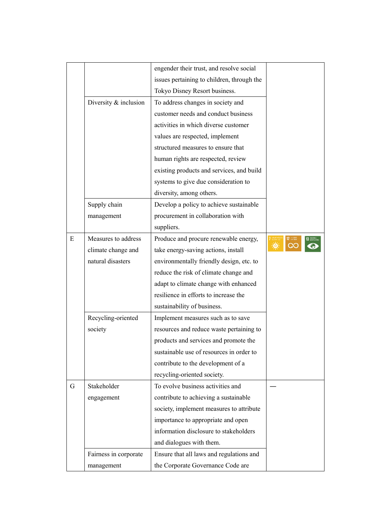|   |                       | engender their trust, and resolve social   |            |
|---|-----------------------|--------------------------------------------|------------|
|   |                       | issues pertaining to children, through the |            |
|   |                       | Tokyo Disney Resort business.              |            |
|   | Diversity & inclusion | To address changes in society and          |            |
|   |                       | customer needs and conduct business        |            |
|   |                       | activities in which diverse customer       |            |
|   |                       | values are respected, implement            |            |
|   |                       | structured measures to ensure that         |            |
|   |                       | human rights are respected, review         |            |
|   |                       | existing products and services, and build  |            |
|   |                       | systems to give due consideration to       |            |
|   |                       | diversity, among others.                   |            |
|   | Supply chain          | Develop a policy to achieve sustainable    |            |
|   | management            | procurement in collaboration with          |            |
|   |                       | suppliers.                                 |            |
| E | Measures to address   | Produce and procure renewable energy,      | 12 365 Aff |
|   | climate change and    | take energy-saving actions, install        |            |
|   | natural disasters     | environmentally friendly design, etc. to   |            |
|   |                       | reduce the risk of climate change and      |            |
|   |                       | adapt to climate change with enhanced      |            |
|   |                       | resilience in efforts to increase the      |            |
|   |                       | sustainability of business.                |            |
|   | Recycling-oriented    | Implement measures such as to save         |            |
|   | society               | resources and reduce waste pertaining to   |            |
|   |                       | products and services and promote the      |            |
|   |                       | sustainable use of resources in order to   |            |
|   |                       | contribute to the development of a         |            |
|   |                       | recycling-oriented society.                |            |
| G | Stakeholder           | To evolve business activities and          |            |
|   | engagement            | contribute to achieving a sustainable      |            |
|   |                       | society, implement measures to attribute   |            |
|   |                       | importance to appropriate and open         |            |
|   |                       | information disclosure to stakeholders     |            |
|   |                       | and dialogues with them.                   |            |
|   | Fairness in corporate | Ensure that all laws and regulations and   |            |
|   | management            | the Corporate Governance Code are          |            |